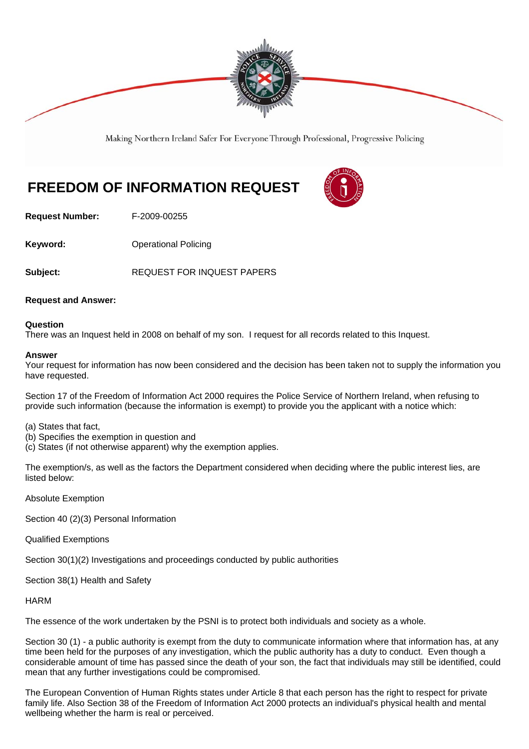

Making Northern Ireland Safer For Everyone Through Professional, Progressive Policing

# **FREEDOM OF INFORMATION REQUEST**

**Request Number:** F-2009-00255

**Keyword: C**Derational Policing

Subject: **Bubject: REQUEST FOR INQUEST PAPERS** 

## **Request and Answer:**

## **Question**

There was an Inquest held in 2008 on behalf of my son. I request for all records related to this Inquest.

#### **Answer**

Your request for information has now been considered and the decision has been taken not to supply the information you have requested.

Section 17 of the Freedom of Information Act 2000 requires the Police Service of Northern Ireland, when refusing to provide such information (because the information is exempt) to provide you the applicant with a notice which:

- (a) States that fact,
- (b) Specifies the exemption in question and
- (c) States (if not otherwise apparent) why the exemption applies.

The exemption/s, as well as the factors the Department considered when deciding where the public interest lies, are listed below:

Absolute Exemption

Section 40 (2)(3) Personal Information

Qualified Exemptions

Section 30(1)(2) Investigations and proceedings conducted by public authorities

Section 38(1) Health and Safety

**HARM** 

The essence of the work undertaken by the PSNI is to protect both individuals and society as a whole.

Section 30 (1) - a public authority is exempt from the duty to communicate information where that information has, at any time been held for the purposes of any investigation, which the public authority has a duty to conduct. Even though a considerable amount of time has passed since the death of your son, the fact that individuals may still be identified, could mean that any further investigations could be compromised.

The European Convention of Human Rights states under Article 8 that each person has the right to respect for private family life. Also Section 38 of the Freedom of Information Act 2000 protects an individual's physical health and mental wellbeing whether the harm is real or perceived.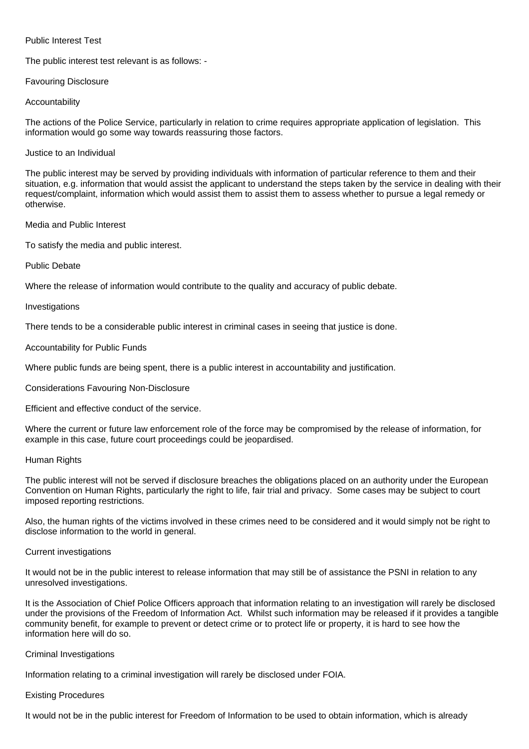## Public Interest Test

The public interest test relevant is as follows: -

## Favouring Disclosure

## Accountability

The actions of the Police Service, particularly in relation to crime requires appropriate application of legislation. This information would go some way towards reassuring those factors.

#### Justice to an Individual

The public interest may be served by providing individuals with information of particular reference to them and their situation, e.g. information that would assist the applicant to understand the steps taken by the service in dealing with their request/complaint, information which would assist them to assist them to assess whether to pursue a legal remedy or otherwise.

## Media and Public Interest

To satisfy the media and public interest.

# Public Debate

Where the release of information would contribute to the quality and accuracy of public debate.

## Investigations

There tends to be a considerable public interest in criminal cases in seeing that justice is done.

## Accountability for Public Funds

Where public funds are being spent, there is a public interest in accountability and justification.

Considerations Favouring Non-Disclosure

Efficient and effective conduct of the service.

Where the current or future law enforcement role of the force may be compromised by the release of information, for example in this case, future court proceedings could be jeopardised.

# Human Rights

The public interest will not be served if disclosure breaches the obligations placed on an authority under the European Convention on Human Rights, particularly the right to life, fair trial and privacy. Some cases may be subject to court imposed reporting restrictions.

Also, the human rights of the victims involved in these crimes need to be considered and it would simply not be right to disclose information to the world in general.

# Current investigations

It would not be in the public interest to release information that may still be of assistance the PSNI in relation to any unresolved investigations.

It is the Association of Chief Police Officers approach that information relating to an investigation will rarely be disclosed under the provisions of the Freedom of Information Act. Whilst such information may be released if it provides a tangible community benefit, for example to prevent or detect crime or to protect life or property, it is hard to see how the information here will do so.

# Criminal Investigations

Information relating to a criminal investigation will rarely be disclosed under FOIA.

#### Existing Procedures

It would not be in the public interest for Freedom of Information to be used to obtain information, which is already